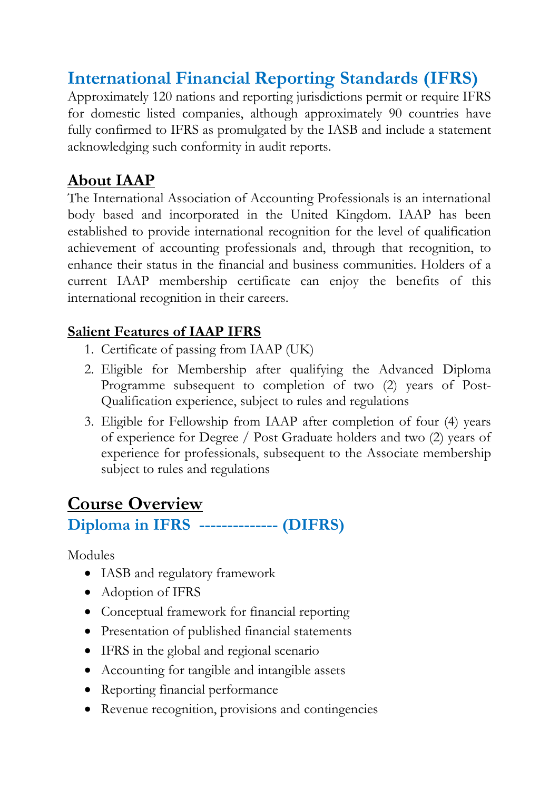## **International Financial Reporting Standards (IFRS)**

Approximately 120 nations and reporting jurisdictions permit or require IFRS for domestic listed companies, although approximately 90 countries have fully confirmed to IFRS as promulgated by the IASB and include a statement acknowledging such conformity in audit reports.

### **About IAAP**

The International Association of Accounting Professionals is an international body based and incorporated in the United Kingdom. IAAP has been established to provide international recognition for the level of qualification achievement of accounting professionals and, through that recognition, to enhance their status in the financial and business communities. Holders of a current IAAP membership certificate can enjoy the benefits of this international recognition in their careers.

#### **Salient Features of IAAP IFRS**

- 1. Certificate of passing from IAAP (UK)
- 2. Eligible for Membership after qualifying the Advanced Diploma Programme subsequent to completion of two (2) years of Post-Qualification experience, subject to rules and regulations
- 3. Eligible for Fellowship from IAAP after completion of four (4) years of experience for Degree / Post Graduate holders and two (2) years of experience for professionals, subsequent to the Associate membership subject to rules and regulations

# **Course Overview**

#### **Diploma in IFRS -------------- (DIFRS)**

Modules

- IASB and regulatory framework
- Adoption of IFRS
- Conceptual framework for financial reporting
- Presentation of published financial statements
- IFRS in the global and regional scenario
- Accounting for tangible and intangible assets
- Reporting financial performance
- Revenue recognition, provisions and contingencies